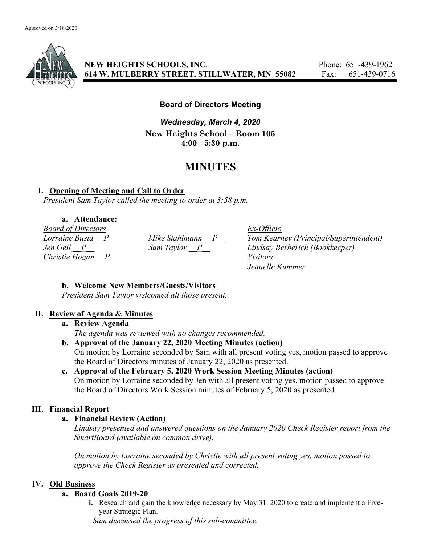

NEW HEIGHTS SCHOOLS, INC. Phone: 651-439-1962 614 W. MULBERRY STREET, STILLWATER, MN 55082 Fax: 651-439-0716

# Board of Directors Meeting

Wednesday, March 4, 2020 New Heights School – Room 105 4:00 - 5:30 p.m.

# MINUTES

# I. Opening of Meeting and Call to Order

President Sam Taylor called the meeting to order at 3:58 p.m.

# a. Attendance:

Board of Directors Ex-Officio Christie Hogan P Visitors

Lorraine Busta  $P_{\text{max}}$  Mike Stahlmann  $P_{\text{max}}$  Tom Kearney (Principal/Superintendent) Jen Geil \_\_P\_\_ Sam Taylor \_\_P\_\_ Lindsay Berberich (Bookkeeper) Jeanelle Kummer

## b. Welcome New Members/Guests/Visitors

President Sam Taylor welcomed all those present.

## II. Review of Agenda & Minutes

# a. Review Agenda

The agenda was reviewed with no changes recommended.

b. Approval of the January 22, 2020 Meeting Minutes (action) On motion by Lorraine seconded by Sam with all present voting yes, motion passed to approve the Board of Directors minutes of January 22, 2020 as presented.

# c. Approval of the February 5, 2020 Work Session Meeting Minutes (action) On motion by Lorraine seconded by Jen with all present voting yes, motion passed to approve the Board of Directors Work Session minutes of February 5, 2020 as presented.

## III. Financial Report

## a. Financial Review (Action)

Lindsay presented and answered questions on the *January 2020 Check Register report from the* SmartBoard (available on common drive).

On motion by Lorraine seconded by Christie with all present voting yes, motion passed to approve the Check Register as presented and corrected.

# IV. Old Business

## a. Board Goals 2019-20

i. Research and gain the knowledge necessary by May 31. 2020 to create and implement a Fiveyear Strategic Plan.

Sam discussed the progress of this sub-committee.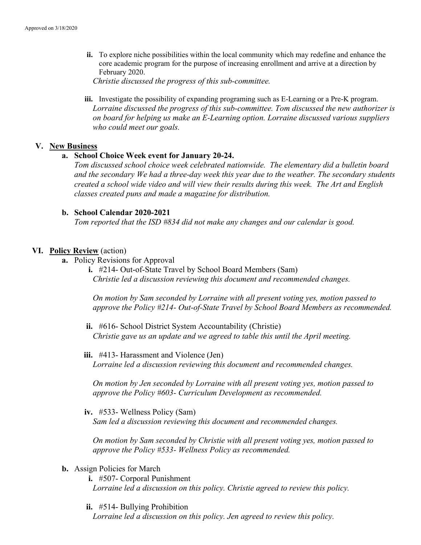ii. To explore niche possibilities within the local community which may redefine and enhance the core academic program for the purpose of increasing enrollment and arrive at a direction by February 2020.

Christie discussed the progress of this sub-committee.

iii. Investigate the possibility of expanding programing such as E-Learning or a Pre-K program. Lorraine discussed the progress of this sub-committee. Tom discussed the new authorizer is on board for helping us make an E-Learning option. Lorraine discussed various suppliers who could meet our goals.

#### V. New Business

#### a. School Choice Week event for January 20-24.

Tom discussed school choice week celebrated nationwide. The elementary did a bulletin board and the secondary We had a three-day week this year due to the weather. The secondary students created a school wide video and will view their results during this week. The Art and English classes created puns and made a magazine for distribution.

#### b. School Calendar 2020-2021

Tom reported that the ISD #834 did not make any changes and our calendar is good.

## VI. Policy Review (action)

a. Policy Revisions for Approval

i. #214- Out-of-State Travel by School Board Members (Sam) Christie led a discussion reviewing this document and recommended changes.

On motion by Sam seconded by Lorraine with all present voting yes, motion passed to approve the Policy #214- Out-of-State Travel by School Board Members as recommended.

- ii. #616- School District System Accountability (Christie) Christie gave us an update and we agreed to table this until the April meeting.
- iii. #413- Harassment and Violence (Jen) Lorraine led a discussion reviewing this document and recommended changes.

On motion by Jen seconded by Lorraine with all present voting yes, motion passed to approve the Policy #603- Curriculum Development as recommended.

iv. #533- Wellness Policy (Sam)

Sam led a discussion reviewing this document and recommended changes.

On motion by Sam seconded by Christie with all present voting yes, motion passed to approve the Policy #533- Wellness Policy as recommended.

## b. Assign Policies for March

i. #507- Corporal Punishment

Lorraine led a discussion on this policy. Christie agreed to review this policy.

ii. #514- Bullying Prohibition

Lorraine led a discussion on this policy. Jen agreed to review this policy.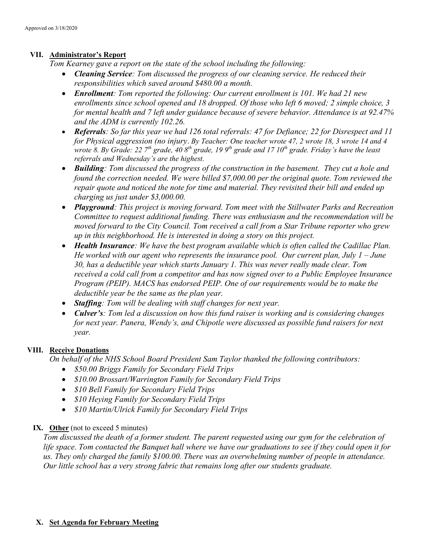## VII. Administrator's Report

Tom Kearney gave a report on the state of the school including the following:

- Cleaning Service: Tom discussed the progress of our cleaning service. He reduced their responsibilities which saved around \$480.00 a month.
- Enrollment: Tom reported the following: Our current enrollment is 101. We had 21 new enrollments since school opened and 18 dropped. Of those who left 6 moved; 2 simple choice, 3 for mental health and 7 left under guidance because of severe behavior. Attendance is at 92.47% and the ADM is currently 102.26.
- Referrals: So far this year we had 126 total referrals: 47 for Defiance; 22 for Disrespect and 11 for Physical aggression (no injury. By Teacher: One teacher wrote 47, 2 wrote 18, 3 wrote 14 and 4 wrote 8. By Grade: 22  $7<sup>th</sup>$  grade, 40  $8<sup>th</sup>$  grade, 19  $9<sup>th</sup>$  grade and 17  $10<sup>th</sup>$  grade. Friday's have the least referrals and Wednesday's are the highest.
- Building: Tom discussed the progress of the construction in the basement. They cut a hole and found the correction needed. We were billed \$7,000.00 per the original quote. Tom reviewed the repair quote and noticed the note for time and material. They revisited their bill and ended up charging us just under \$3,000.00.
- Playground: This project is moving forward. Tom meet with the Stillwater Parks and Recreation Committee to request additional funding. There was enthusiasm and the recommendation will be moved forward to the City Council. Tom received a call from a Star Tribune reporter who grew up in this neighborhood. He is interested in doing a story on this project.
- Health Insurance: We have the best program available which is often called the Cadillac Plan. He worked with our agent who represents the insurance pool. Our current plan, July  $1 -$ June 30, has a deductible year which starts January 1. This was never really made clear. Tom received a cold call from a competitor and has now signed over to a Public Employee Insurance Program (PEIP). MACS has endorsed PEIP. One of our requirements would be to make the deductible year be the same as the plan year.
- Staffing: Tom will be dealing with staff changes for next year.
- Culver's: Tom led a discussion on how this fund raiser is working and is considering changes for next year. Panera, Wendy's, and Chipotle were discussed as possible fund raisers for next year.

## VIII. Receive Donations

On behalf of the NHS School Board President Sam Taylor thanked the following contributors:

- \$50.00 Briggs Family for Secondary Field Trips
- \$10.00 Brossart/Warrington Family for Secondary Field Trips
- *\$10 Bell Family for Secondary Field Trips*
- *\$10 Heying Family for Secondary Field Trips*
- \$10 Martin/Ulrick Family for Secondary Field Trips

## IX. Other (not to exceed 5 minutes)

Tom discussed the death of a former student. The parent requested using our gym for the celebration of life space. Tom contacted the Banquet hall where we have our graduations to see if they could open it for us. They only charged the family \$100.00. There was an overwhelming number of people in attendance. Our little school has a very strong fabric that remains long after our students graduate.